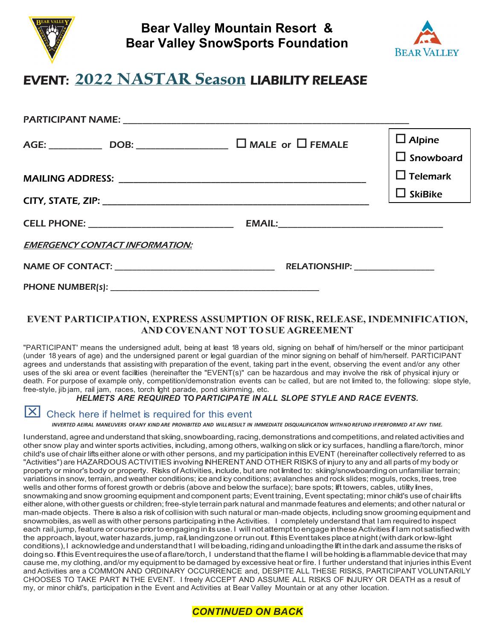

**Bear Valley Mountain Resort & Bear Valley SnowSports Foundation**



## EVENT: **2022 NASTAR Season** LIABILITY RELEASE

|                                       |                                  | $\Box$ Alpine<br>$\Box$ Snowboard |
|---------------------------------------|----------------------------------|-----------------------------------|
|                                       |                                  | $\Box$ Telemark                   |
|                                       |                                  | $\Box$ SkiBike                    |
|                                       |                                  |                                   |
| <b>EMERGENCY CONTACT INFORMATION:</b> |                                  |                                   |
|                                       | RELATIONSHIP: __________________ |                                   |
| <b>PHONE NUMBER(s):</b>               |                                  |                                   |

## **EVENT PARTICIPATION, EXPRESS ASSUMPTION OF RISK, RELEASE, INDEMNIFICATION, AND COVENANT NOT TO SUE AGREEMENT**

"PARTICIPANT' means the undersigned adult, being at least 18 years old, signing on behalf of him/herself or the minor participant (under 18 years of age) and the undersigned parent or legal guardian of the minor signing on behalf of him/herself. PARTICIPANT agrees and understands that assisting with preparation of the event, taking part in the event, observing the event and/or any other uses of the ski area or event facilities (hereinafter the "EVENT(s)" can be hazardous and may involve the risk of physical injury or death. For purpose of example only, competition/demonstration events can be called, but are not limited to, the following: slope style, free-style, jib jam, rail jam, races, torch light parade, pond skimming, etc.

## *HELMETS ARE REQUIRED* **TO***PARTICIPATE IN ALL SLOPE STYLE AND RACE EVENTS.*

## Check here if helmet is required for this event

INVERTED AEIRAL MANEUVERS OFANY KIND ARE PROHIBITED AND WILLRESULT IN IMMEDIATE DISQUALIFICATION WITHNO REFUND IFPERFORMED AT ANY TIME.

Iunderstand, agree and understand that skiing, snowboarding, racing, demonstrations and competitions, and related activities and other snow play and winter sports activities, including,among others, walking on slick or icy surfaces, handling a flare/torch, minor child's use of chair liftseither alone or with other persons, and my participation inthis EVENT (hereinafter collectively referred to as "Activities") are HAZARDOUS ACTIVITIES involving INHERENTAND OTHER RISKS of injury to any and all parts of my body or property or minor's body or property. Risks of Activities, include, but are not limited to: skiing/snowboarding on unfamiliar terrain; variations in snow, terrain, and weather conditions; ice and icy conditions; avalanches and rock slides; moguls, rocks, trees, tree wells and other forms of forest growth or debris (above and below the surface); bare spots; lift towers, cables, utility lines, snowmaking and snow grooming equipment and component parts; Event training, Event spectating; minor child's use of chair lifts either alone, with other guests or children; free-style terrain park natural and manmade features and elements; and other natural or man-made objects. There is also a risk of collision with such natural or man-made objects, including snow groomingequipment and snowmobiles, as well as with other persons participating inthe Activities. I completely understand that Iam required to inspect each rail, jump, feature or course prior to engaging in its use. I will not attempt to engage in these Activities if Iam not satisfied with the approach, layout, water hazards, jump, rail, landingzone or runout. If this Event takes place at night (with dark or low-light conditions), I acknowledge and understand that I will be bading, riding and unloading the lift in the dark and assume the risks of doingso. If this Event requires the use of a flare/torch, I understand that the flame I will be holding is a flammable device that may cause me, my clothing, and/or my equipment to be damaged by excessive heat or fire. I further understand that injuries inthis Event and Activities are a COMMON AND ORDINARY OCCURRENCE and, DESPITE ALL THESE RISKS, PARTICIPANT VOLUNTARILY CHOOSES TO TAKE PART IN THE EVENT. I freely ACCEPT AND ASSUME ALL RISKS OF INJURY OR DEATH as a result of my, or minor child's, participation in the Event and Activities at Bear Valley Mountain or at any other location.